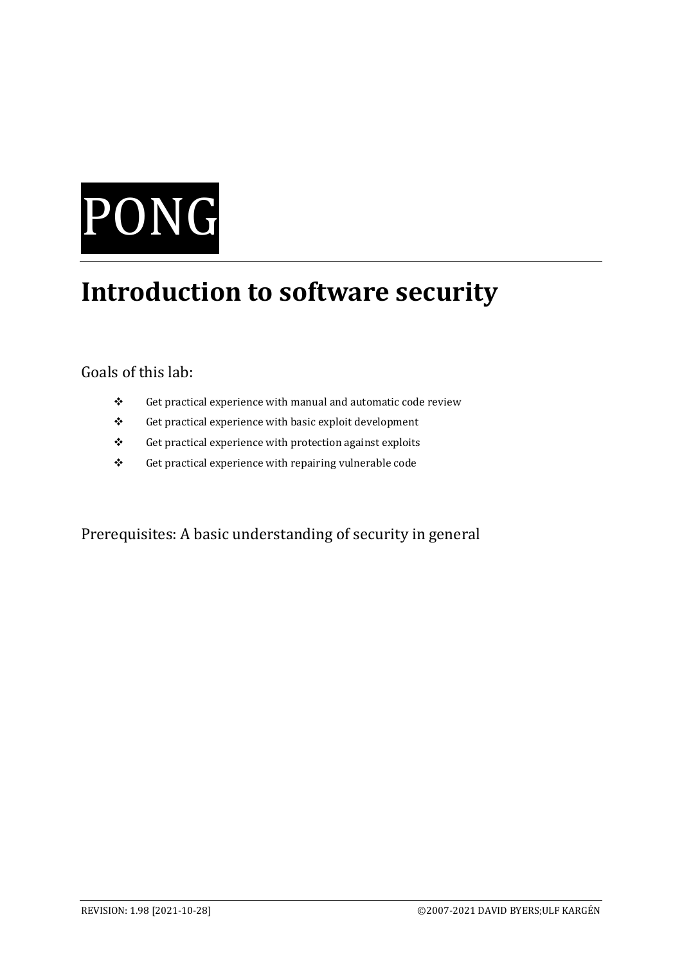# PONG

# **Introduction to software security**

# Goals of this lab:

- ❖ Get practical experience with manual and automatic code review
- ❖ Get practical experience with basic exploit development
- ❖ Get practical experience with protection against exploits
- ❖ Get practical experience with repairing vulnerable code

Prerequisites: A basic understanding of security in general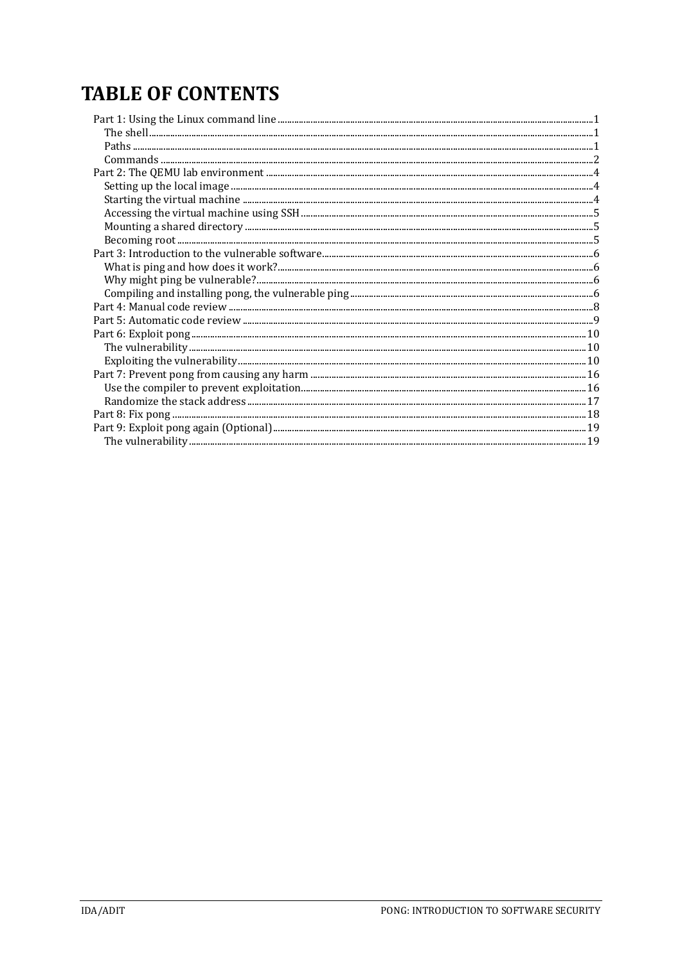# **TABLE OF CONTENTS**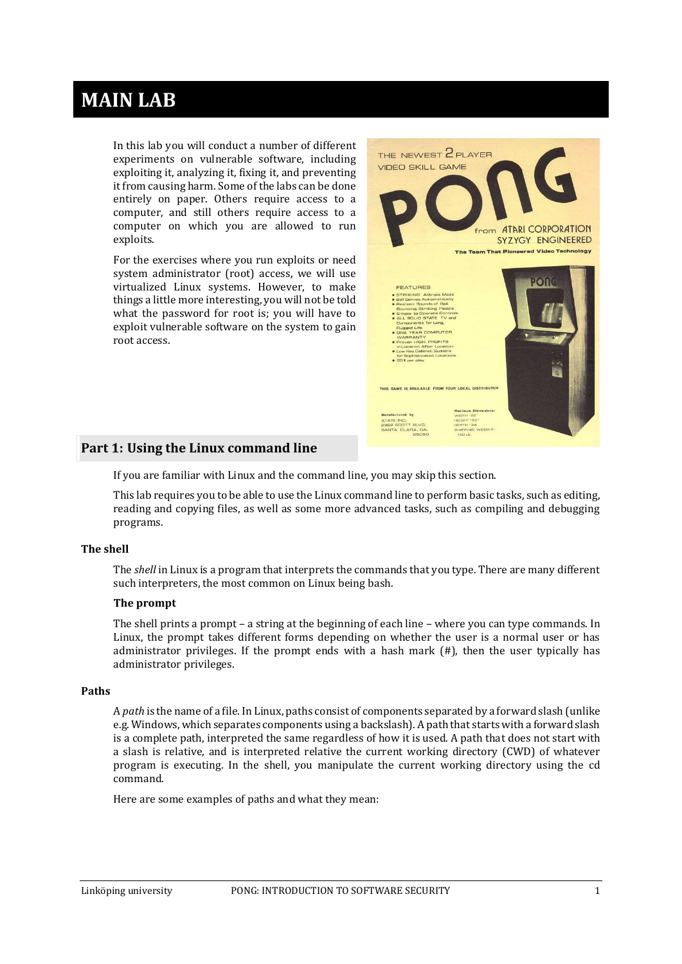# **MAIN LAB**

In this lab you will conduct a number of different experiments on vulnerable software, including exploiting it, analyzing it, fixing it, and preventing it from causing harm. Some of the labs can be done entirely on paper. Others require access to a computer, and still others require access to a computer on which you are allowed to run exploits.

For the exercises where you run exploits or need system administrator (root) access, we will use virtualized Linux systems. However, to make things a little more interesting, you will not be told what the password for root is; you will have to exploit vulnerable software on the system to gain root access.



# <span id="page-3-0"></span>**Part 1: Using the Linux command line**

If you are familiar with Linux and the command line, you may skip this section.

This lab requires you to be able to use the Linux command line to perform basic tasks, such as editing, reading and copying files, as well as some more advanced tasks, such as compiling and debugging programs.

# <span id="page-3-1"></span>**The shell**

The *shell* in Linux is a program that interprets the commands that you type. There are many different such interpreters, the most common on Linux being bash.

# **The prompt**

The shell prints a prompt – a string at the beginning of each line – where you can type commands. In Linux, the prompt takes different forms depending on whether the user is a normal user or has administrator privileges. If the prompt ends with a hash mark  $(H)$ , then the user typically has administrator privileges.

#### <span id="page-3-2"></span>**Paths**

A *path* is the name of a file. In Linux, paths consist of components separated by a forward slash (unlike e.g. Windows, which separates components using a backslash). A path that starts with a forward slash is a complete path, interpreted the same regardless of how it is used. A path that does not start with a slash is relative, and is interpreted relative the current working directory (CWD) of whatever program is executing. In the shell, you manipulate the current working directory using the cd command.

Here are some examples of paths and what they mean: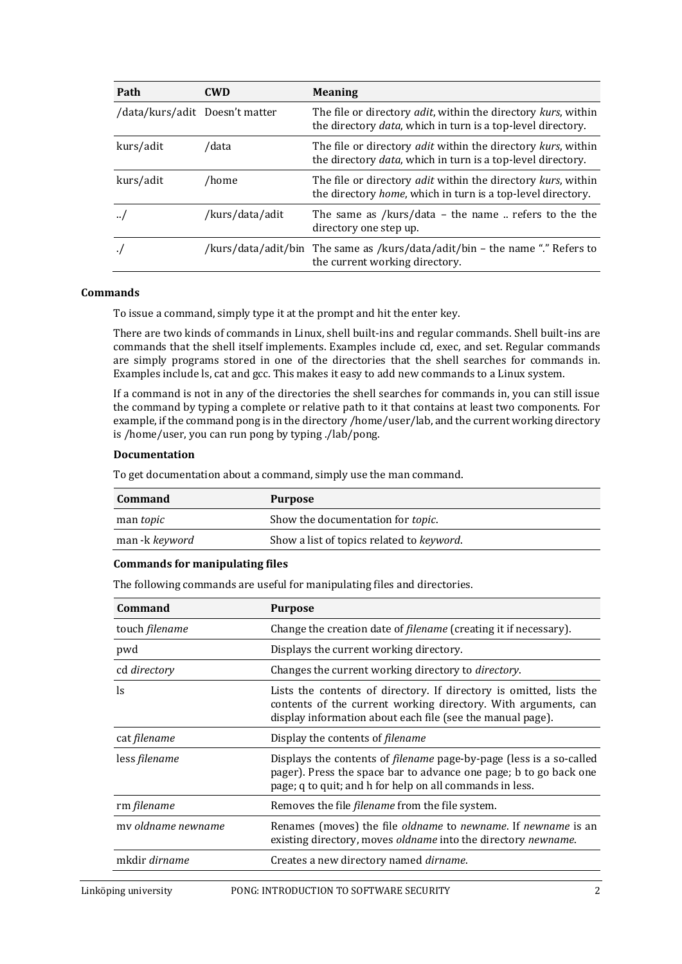| Path                           | <b>CWD</b>      | <b>Meaning</b>                                                                                                                                       |
|--------------------------------|-----------------|------------------------------------------------------------------------------------------------------------------------------------------------------|
| /data/kurs/adit Doesn't matter |                 | The file or directory <i>adit</i> , within the directory <i>kurs</i> , within<br>the directory <i>data</i> , which in turn is a top-level directory. |
| kurs/adit                      | /data           | The file or directory <i>adit</i> within the directory kurs, within<br>the directory <i>data</i> , which in turn is a top-level directory.           |
| kurs/adit                      | /home           | The file or directory <i>adit</i> within the directory <i>kurs</i> , within<br>the directory <i>home</i> , which in turn is a top-level directory.   |
|                                | /kurs/data/adit | The same as /kurs/data - the name $\ldots$ refers to the the<br>directory one step up.                                                               |
|                                |                 | /kurs/data/adit/bin The same as /kurs/data/adit/bin - the name "." Refers to<br>the current working directory.                                       |

# <span id="page-4-0"></span>**Commands**

To issue a command, simply type it at the prompt and hit the enter key.

There are two kinds of commands in Linux, shell built-ins and regular commands. Shell built-ins are commands that the shell itself implements. Examples include cd, exec, and set. Regular commands are simply programs stored in one of the directories that the shell searches for commands in. Examples include ls, cat and gcc. This makes it easy to add new commands to a Linux system.

If a command is not in any of the directories the shell searches for commands in, you can still issue the command by typing a complete or relative path to it that contains at least two components. For example, if the command pong is in the directory /home/user/lab, and the current working directory is /home/user, you can run pong by typing ./lab/pong.

# **Documentation**

To get documentation about a command, simply use the man command.

| Command               | <b>Purpose</b>                            |
|-----------------------|-------------------------------------------|
| man <i>topic</i>      | Show the documentation for topic.         |
| man -k <i>keyword</i> | Show a list of topics related to keyword. |

# **Commands for manipulating files**

The following commands are useful for manipulating files and directories.

| Command            | <b>Purpose</b>                                                                                                                                                                                              |
|--------------------|-------------------------------------------------------------------------------------------------------------------------------------------------------------------------------------------------------------|
| touch filename     | Change the creation date of <i>filename</i> (creating it if necessary).                                                                                                                                     |
| pwd                | Displays the current working directory.                                                                                                                                                                     |
| cd directory       | Changes the current working directory to <i>directory</i> .                                                                                                                                                 |
| <sub>1s</sub>      | Lists the contents of directory. If directory is omitted, lists the<br>contents of the current working directory. With arguments, can<br>display information about each file (see the manual page).         |
| cat filename       | Display the contents of <i>filename</i>                                                                                                                                                                     |
| less filename      | Displays the contents of <i>filename</i> page-by-page (less is a so-called<br>pager). Press the space bar to advance one page; b to go back one<br>page; q to quit; and h for help on all commands in less. |
| rm filename        | Removes the file <i>filename</i> from the file system.                                                                                                                                                      |
| my oldname newname | Renames (moves) the file <i>oldname</i> to <i>newname</i> . If <i>newname</i> is an<br>existing directory, moves oldname into the directory newname.                                                        |
| mkdir dirname      | Creates a new directory named dirname.                                                                                                                                                                      |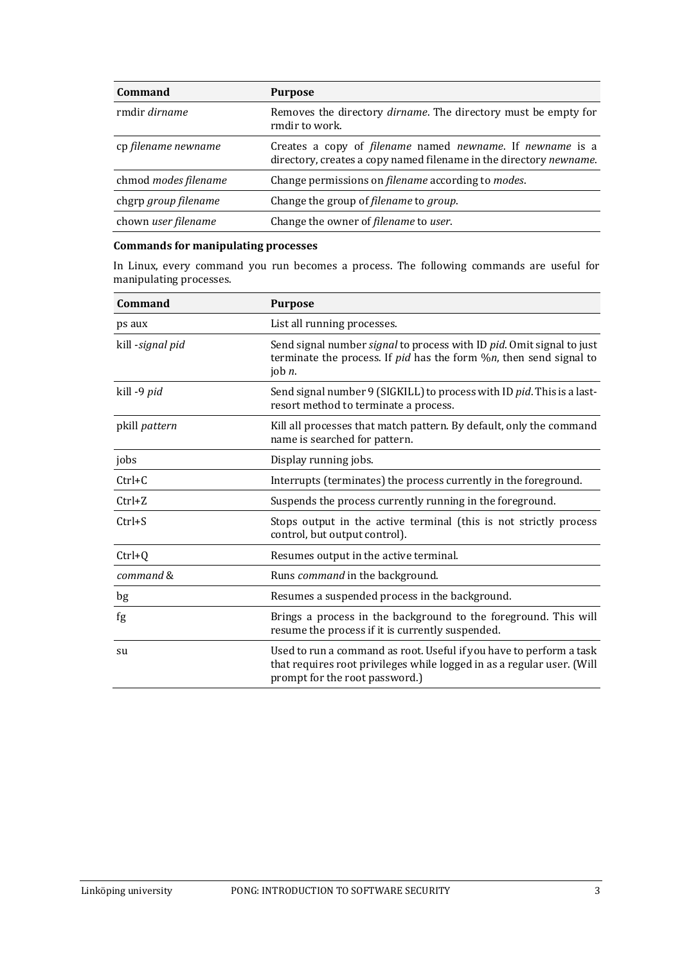| <b>Command</b>       | <b>Purpose</b>                                                                                                                  |
|----------------------|---------------------------------------------------------------------------------------------------------------------------------|
| rmdir <i>dirname</i> | Removes the directory <i>dirname</i> . The directory must be empty for<br>rmdir to work.                                        |
| cp filename newname  | Creates a copy of filename named newname. If newname is a<br>directory, creates a copy named filename in the directory newname. |
| chmod modes filename | Change permissions on filename according to modes.                                                                              |
| chgrp group filename | Change the group of filename to group.                                                                                          |
| chown user filename  | Change the owner of <i>filename</i> to user.                                                                                    |

# **Commands for manipulating processes**

In Linux, every command you run becomes a process. The following commands are useful for manipulating processes.

| <b>Command</b>   | <b>Purpose</b>                                                                                                                                                                  |  |  |  |  |  |
|------------------|---------------------------------------------------------------------------------------------------------------------------------------------------------------------------------|--|--|--|--|--|
| ps aux           | List all running processes.                                                                                                                                                     |  |  |  |  |  |
| kill -signal pid | Send signal number signal to process with ID pid. Omit signal to just<br>terminate the process. If $pid$ has the form $\%n$ , then send signal to<br>job $n$ .                  |  |  |  |  |  |
| kill -9 pid      | Send signal number 9 (SIGKILL) to process with ID pid. This is a last-<br>resort method to terminate a process.                                                                 |  |  |  |  |  |
| pkill pattern    | Kill all processes that match pattern. By default, only the command<br>name is searched for pattern.                                                                            |  |  |  |  |  |
| jobs             | Display running jobs.                                                                                                                                                           |  |  |  |  |  |
| $Ctrl+C$         | Interrupts (terminates) the process currently in the foreground.                                                                                                                |  |  |  |  |  |
| $Ctrl+Z$         | Suspends the process currently running in the foreground.                                                                                                                       |  |  |  |  |  |
| $Ctrl + S$       | Stops output in the active terminal (this is not strictly process<br>control, but output control).                                                                              |  |  |  |  |  |
| $Ctrl + Q$       | Resumes output in the active terminal.                                                                                                                                          |  |  |  |  |  |
| command &        | Runs command in the background.                                                                                                                                                 |  |  |  |  |  |
| bg               | Resumes a suspended process in the background.                                                                                                                                  |  |  |  |  |  |
| fg               | Brings a process in the background to the foreground. This will<br>resume the process if it is currently suspended.                                                             |  |  |  |  |  |
| su               | Used to run a command as root. Useful if you have to perform a task<br>that requires root privileges while logged in as a regular user. (Will<br>prompt for the root password.) |  |  |  |  |  |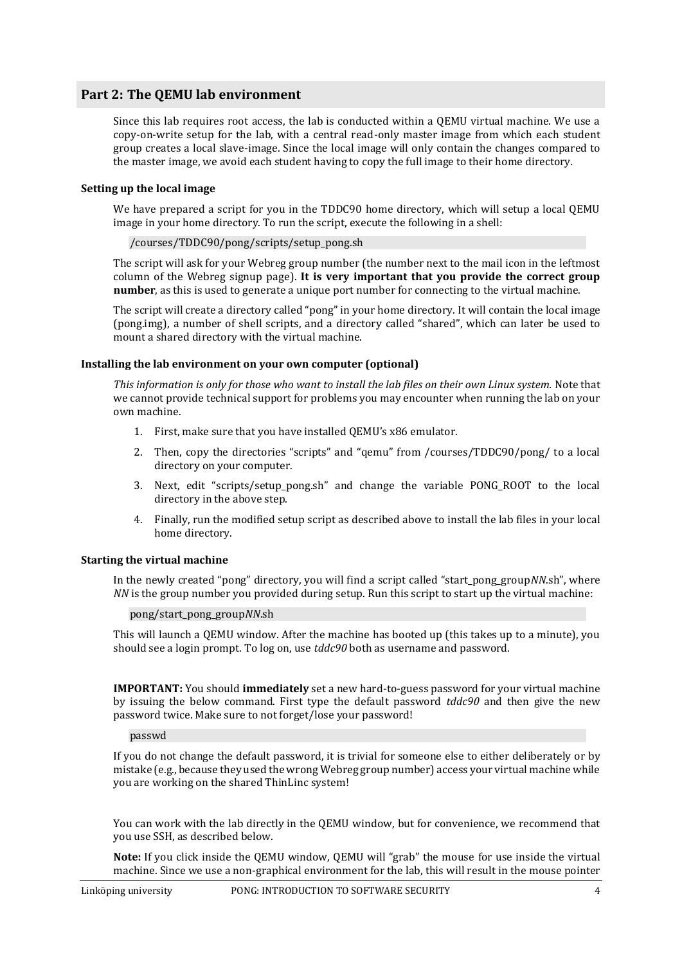# <span id="page-6-0"></span>**Part 2: The QEMU lab environment**

Since this lab requires root access, the lab is conducted within a QEMU virtual machine. We use a copy-on-write setup for the lab, with a central read-only master image from which each student group creates a local slave-image. Since the local image will only contain the changes compared to the master image, we avoid each student having to copy the full image to their home directory.

# <span id="page-6-1"></span>**Setting up the local image**

We have prepared a script for you in the TDDC90 home directory, which will setup a local QEMU image in your home directory. To run the script, execute the following in a shell:

/courses/TDDC90/pong/scripts/setup\_pong.sh

The script will ask for your Webreg group number (the number next to the mail icon in the leftmost column of the Webreg signup page). **It is very important that you provide the correct group number**, as this is used to generate a unique port number for connecting to the virtual machine.

The script will create a directory called "pong" in your home directory. It will contain the local image (pong.img), a number of shell scripts, and a directory called "shared", which can later be used to mount a shared directory with the virtual machine.

# **Installing the lab environment on your own computer (optional)**

*This information is only for those who want to install the lab files on their own Linux system.* Note that we cannot provide technical support for problems you may encounter when running the lab on your own machine.

- 1. First, make sure that you have installed QEMU's x86 emulator.
- 2. Then, copy the directories "scripts" and "qemu" from /courses/TDDC90/pong/ to a local directory on your computer.
- 3. Next, edit "scripts/setup\_pong.sh" and change the variable PONG\_ROOT to the local directory in the above step.
- 4. Finally, run the modified setup script as described above to install the lab files in your local home directory.

# <span id="page-6-2"></span>**Starting the virtual machine**

In the newly created "pong" directory, you will find a script called "start\_pong\_group*NN*.sh", where *NN* is the group number you provided during setup. Run this script to start up the virtual machine:

pong/start\_pong\_group*NN*.sh

This will launch a QEMU window. After the machine has booted up (this takes up to a minute), you should see a login prompt. To log on, use *tddc90* both as username and password.

**IMPORTANT:** You should **immediately** set a new hard-to-guess password for your virtual machine by issuing the below command. First type the default password *tddc90* and then give the new password twice. Make sure to not forget/lose your password!

passwd

If you do not change the default password, it is trivial for someone else to either deliberately or by mistake (e.g., because they used the wrong Webreg group number) access your virtual machine while you are working on the shared ThinLinc system!

You can work with the lab directly in the QEMU window, but for convenience, we recommend that you use SSH, as described below.

**Note:** If you click inside the QEMU window, QEMU will "grab" the mouse for use inside the virtual machine. Since we use a non-graphical environment for the lab, this will result in the mouse pointer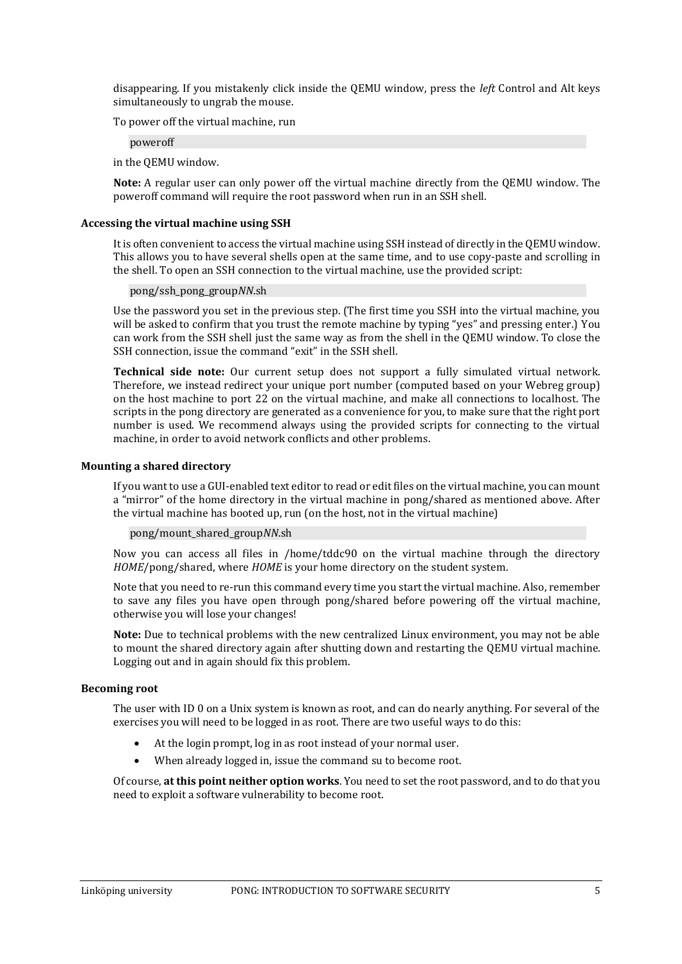disappearing. If you mistakenly click inside the QEMU window, press the *left* Control and Alt keys simultaneously to ungrab the mouse.

To power off the virtual machine, run

poweroff

in the QEMU window.

**Note:** A regular user can only power off the virtual machine directly from the QEMU window. The poweroff command will require the root password when run in an SSH shell.

#### <span id="page-7-0"></span>**Accessing the virtual machine using SSH**

It is often convenient to access the virtual machine using SSH instead of directly in the QEMU window. This allows you to have several shells open at the same time, and to use copy-paste and scrolling in the shell. To open an SSH connection to the virtual machine, use the provided script:

pong/ssh\_pong\_group*NN*.sh

Use the password you set in the previous step. (The first time you SSH into the virtual machine, you will be asked to confirm that you trust the remote machine by typing "yes" and pressing enter.) You can work from the SSH shell just the same way as from the shell in the QEMU window. To close the SSH connection, issue the command "exit" in the SSH shell.

**Technical side note:** Our current setup does not support a fully simulated virtual network. Therefore, we instead redirect your unique port number (computed based on your Webreg group) on the host machine to port 22 on the virtual machine, and make all connections to localhost. The scripts in the pong directory are generated as a convenience for you, to make sure that the right port number is used. We recommend always using the provided scripts for connecting to the virtual machine, in order to avoid network conflicts and other problems.

#### <span id="page-7-1"></span>**Mounting a shared directory**

If you want to use a GUI-enabled text editor to read or edit files on the virtual machine, you can mount a "mirror" of the home directory in the virtual machine in pong/shared as mentioned above. After the virtual machine has booted up, run (on the host, not in the virtual machine)

```
pong/mount_shared_groupNN.sh
```
Now you can access all files in /home/tddc90 on the virtual machine through the directory *HOME*/pong/shared, where *HOME* is your home directory on the student system.

Note that you need to re-run this command every time you start the virtual machine. Also, remember to save any files you have open through pong/shared before powering off the virtual machine, otherwise you will lose your changes!

**Note:** Due to technical problems with the new centralized Linux environment, you may not be able to mount the shared directory again after shutting down and restarting the QEMU virtual machine. Logging out and in again should fix this problem.

# <span id="page-7-2"></span>**Becoming root**

The user with ID 0 on a Unix system is known as root, and can do nearly anything. For several of the exercises you will need to be logged in as root. There are two useful ways to do this:

- At the login prompt, log in as root instead of your normal user.
- When already logged in, issue the command su to become root.

Of course, **at this point neither option works**. You need to set the root password, and to do that you need to exploit a software vulnerability to become root.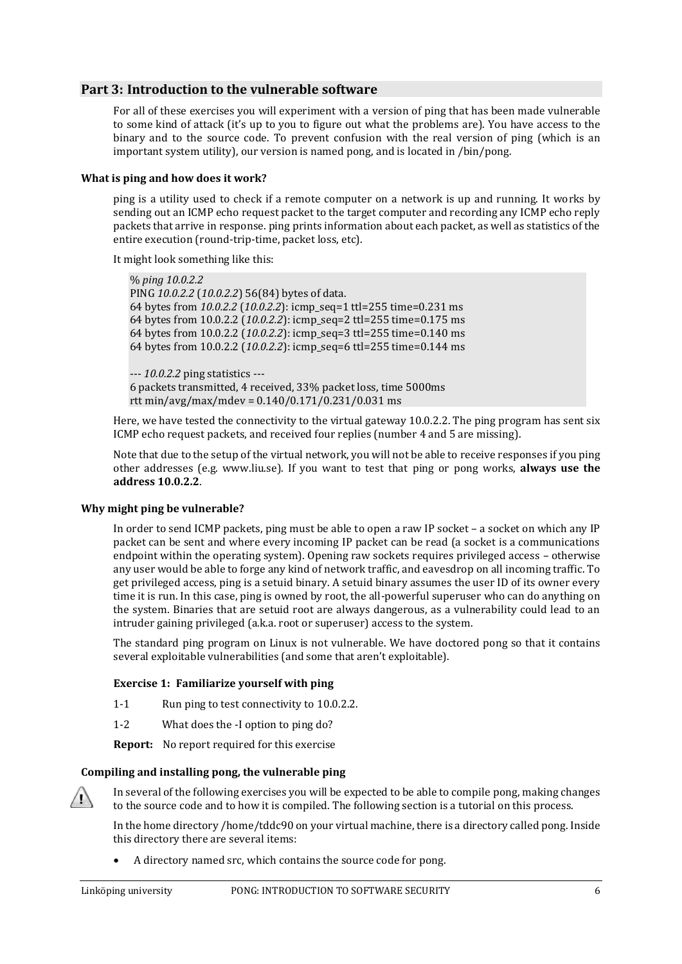# <span id="page-8-0"></span>**Part 3: Introduction to the vulnerable software**

For all of these exercises you will experiment with a version of ping that has been made vulnerable to some kind of attack (it's up to you to figure out what the problems are). You have access to the binary and to the source code. To prevent confusion with the real version of ping (which is an important system utility), our version is named pong, and is located in /bin/pong.

# <span id="page-8-1"></span>**What is ping and how does it work?**

ping is a utility used to check if a remote computer on a network is up and running. It works by sending out an ICMP echo request packet to the target computer and recording any ICMP echo reply packets that arrive in response. ping prints information about each packet, as well as statistics of the entire execution (round-trip-time, packet loss, etc).

It might look something like this:

```
% ping 10.0.2.2
PING 10.0.2.2 (10.0.2.2) 56(84) bytes of data.
64 bytes from 10.0.2.2 (10.0.2.2): icmp_seq=1 ttl=255 time=0.231 ms
64 bytes from 10.0.2.2 (10.0.2.2): icmp_seq=2 ttl=255 time=0.175 ms
64 bytes from 10.0.2.2 (10.0.2.2): icmp_seq=3 ttl=255 time=0.140 ms
64 bytes from 10.0.2.2 (10.0.2.2): icmp_seq=6 ttl=255 time=0.144 ms
```
--- *10.0.2.2* ping statistics --- 6 packets transmitted, 4 received, 33% packet loss, time 5000ms rtt min/avg/max/mdev =  $0.140/0.171/0.231/0.031$  ms

Here, we have tested the connectivity to the virtual gateway 10.0.2.2. The ping program has sent six ICMP echo request packets, and received four replies (number 4 and 5 are missing).

Note that due to the setup of the virtual network, you will not be able to receive responses if you ping other addresses (e.g. www.liu.se). If you want to test that ping or pong works, **always use the address 10.0.2.2**.

# <span id="page-8-2"></span>**Why might ping be vulnerable?**

In order to send ICMP packets, ping must be able to open a raw IP socket – a socket on which any IP packet can be sent and where every incoming IP packet can be read (a socket is a communications endpoint within the operating system). Opening raw sockets requires privileged access – otherwise any user would be able to forge any kind of network traffic, and eavesdrop on all incoming traffic. To get privileged access, ping is a setuid binary. A setuid binary assumes the user ID of its owner every time it is run. In this case, ping is owned by root, the all-powerful superuser who can do anything on the system. Binaries that are setuid root are always dangerous, as a vulnerability could lead to an intruder gaining privileged (a.k.a. root or superuser) access to the system.

The standard ping program on Linux is not vulnerable. We have doctored pong so that it contains several exploitable vulnerabilities (and some that aren't exploitable).

# **Exercise 1: Familiarize yourself with ping**

- 1-1 Run ping to test connectivity to 10.0.2.2.
- 1-2 What does the -I option to ping do?

**Report:** No report required for this exercise

# <span id="page-8-3"></span>**Compiling and installing pong, the vulnerable ping**



In several of the following exercises you will be expected to be able to compile pong, making changes to the source code and to how it is compiled. The following section is a tutorial on this process.

In the home directory /home/tddc90 on your virtual machine, there is a directory called pong. Inside this directory there are several items:

• A directory named src, which contains the source code for pong.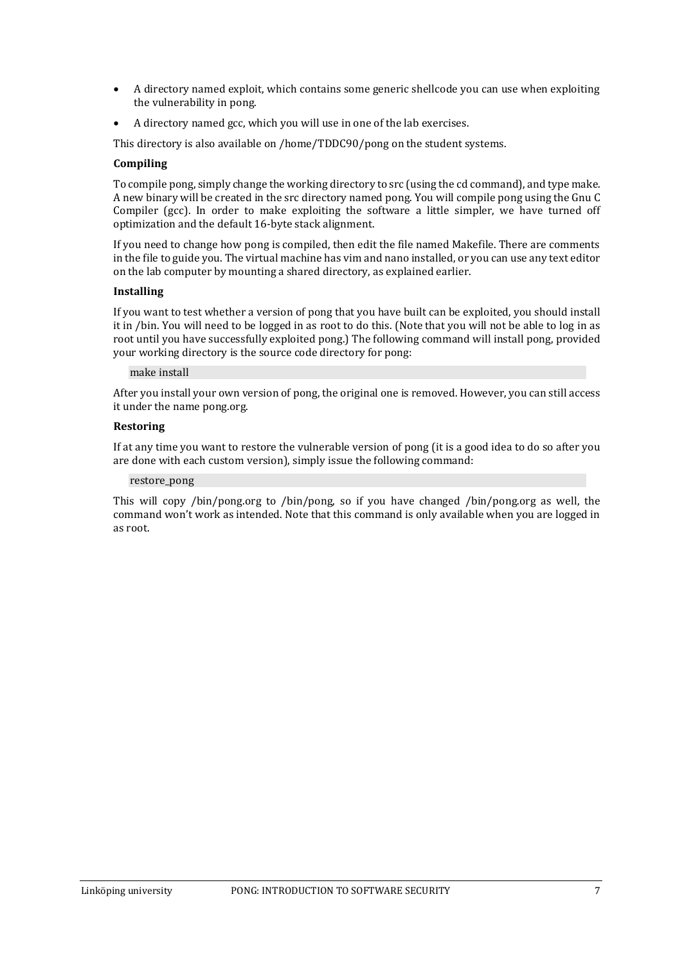- A directory named exploit, which contains some generic shellcode you can use when exploiting the vulnerability in pong.
- A directory named gcc, which you will use in one of the lab exercises.

This directory is also available on /home/TDDC90/pong on the student systems.

# **Compiling**

To compile pong, simply change the working directory to src (using the cd command), and type make. A new binary will be created in the src directory named pong. You will compile pong using the Gnu C Compiler (gcc). In order to make exploiting the software a little simpler, we have turned off optimization and the default 16-byte stack alignment.

If you need to change how pong is compiled, then edit the file named Makefile. There are comments in the file to guide you. The virtual machine has vim and nano installed, or you can use any text editor on the lab computer by mounting a shared directory, as explained earlier.

# **Installing**

If you want to test whether a version of pong that you have built can be exploited, you should install it in /bin. You will need to be logged in as root to do this. (Note that you will not be able to log in as root until you have successfully exploited pong.) The following command will install pong, provided your working directory is the source code directory for pong:

#### make install

After you install your own version of pong, the original one is removed. However, you can still access it under the name pong.org.

# **Restoring**

If at any time you want to restore the vulnerable version of pong (it is a good idea to do so after you are done with each custom version), simply issue the following command:

# restore\_pong

This will copy /bin/pong.org to /bin/pong, so if you have changed /bin/pong.org as well, the command won't work as intended. Note that this command is only available when you are logged in as root.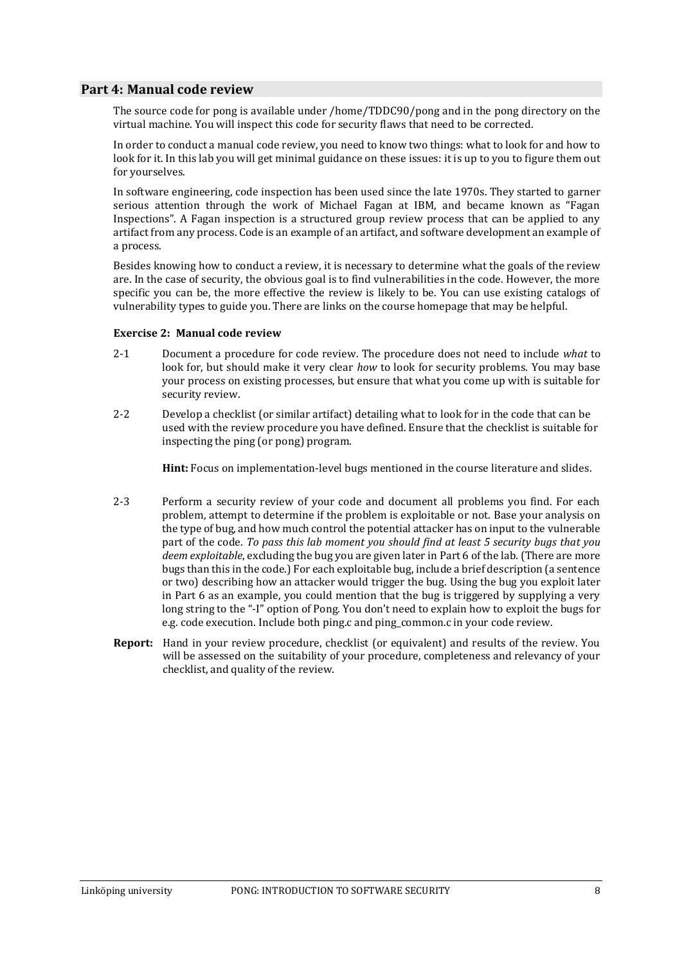# <span id="page-10-0"></span>**Part 4: Manual code review**

The source code for pong is available under /home/TDDC90/pong and in the pong directory on the virtual machine. You will inspect this code for security flaws that need to be corrected.

In order to conduct a manual code review, you need to know two things: what to look for and how to look for it. In this lab you will get minimal guidance on these issues: it is up to you to figure them out for yourselves.

In software engineering, code inspection has been used since the late 1970s. They started to garner serious attention through the work of Michael Fagan at IBM, and became known as "Fagan Inspections". A Fagan inspection is a structured group review process that can be applied to any artifact from any process. Code is an example of an artifact, and software development an example of a process.

Besides knowing how to conduct a review, it is necessary to determine what the goals of the review are. In the case of security, the obvious goal is to find vulnerabilities in the code. However, the more specific you can be, the more effective the review is likely to be. You can use existing catalogs of vulnerability types to guide you. There are links on the course homepage that may be helpful.

# **Exercise 2: Manual code review**

- 2-1 Document a procedure for code review. The procedure does not need to include *what* to look for, but should make it very clear *how* to look for security problems. You may base your process on existing processes, but ensure that what you come up with is suitable for security review.
- 2-2 Develop a checklist (or similar artifact) detailing what to look for in the code that can be used with the review procedure you have defined. Ensure that the checklist is suitable for inspecting the ping (or pong) program.

**Hint:** Focus on implementation-level bugs mentioned in the course literature and slides.

- 2-3 Perform a security review of your code and document all problems you find. For each problem, attempt to determine if the problem is exploitable or not. Base your analysis on the type of bug, and how much control the potential attacker has on input to the vulnerable part of the code. *To pass this lab moment you should find at least 5 security bugs that you deem exploitable*, excluding the bug you are given later in Part 6 of the lab*.* (There are more bugs than this in the code.) For each exploitable bug, include a brief description (a sentence or two) describing how an attacker would trigger the bug. Using the bug you exploit later in Part 6 as an example, you could mention that the bug is triggered by supplying a very long string to the "-I" option of Pong. You don't need to explain how to exploit the bugs for e.g. code execution. Include both ping.c and ping\_common.c in your code review.
- **Report:** Hand in your review procedure, checklist (or equivalent) and results of the review. You will be assessed on the suitability of your procedure, completeness and relevancy of your checklist, and quality of the review.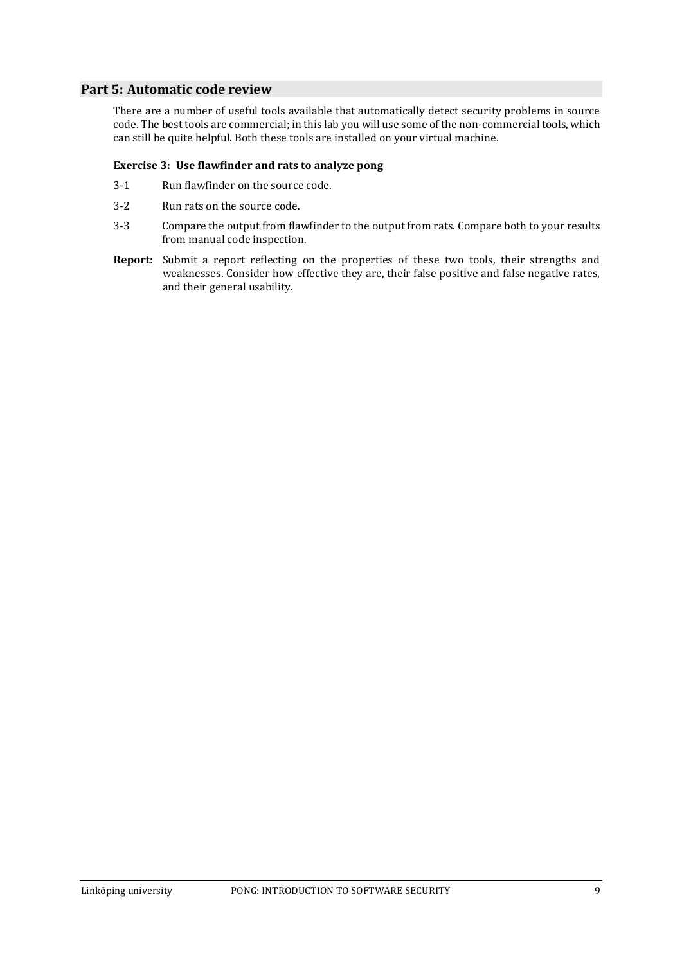# <span id="page-11-0"></span>**Part 5: Automatic code review**

There are a number of useful tools available that automatically detect security problems in source code. The best tools are commercial; in this lab you will use some of the non-commercial tools, which can still be quite helpful. Both these tools are installed on your virtual machine.

# **Exercise 3: Use flawfinder and rats to analyze pong**

- 3-1 Run flawfinder on the source code.
- 3-2 Run rats on the source code.
- 3-3 Compare the output from flawfinder to the output from rats. Compare both to your results from manual code inspection.
- **Report:** Submit a report reflecting on the properties of these two tools, their strengths and weaknesses. Consider how effective they are, their false positive and false negative rates, and their general usability.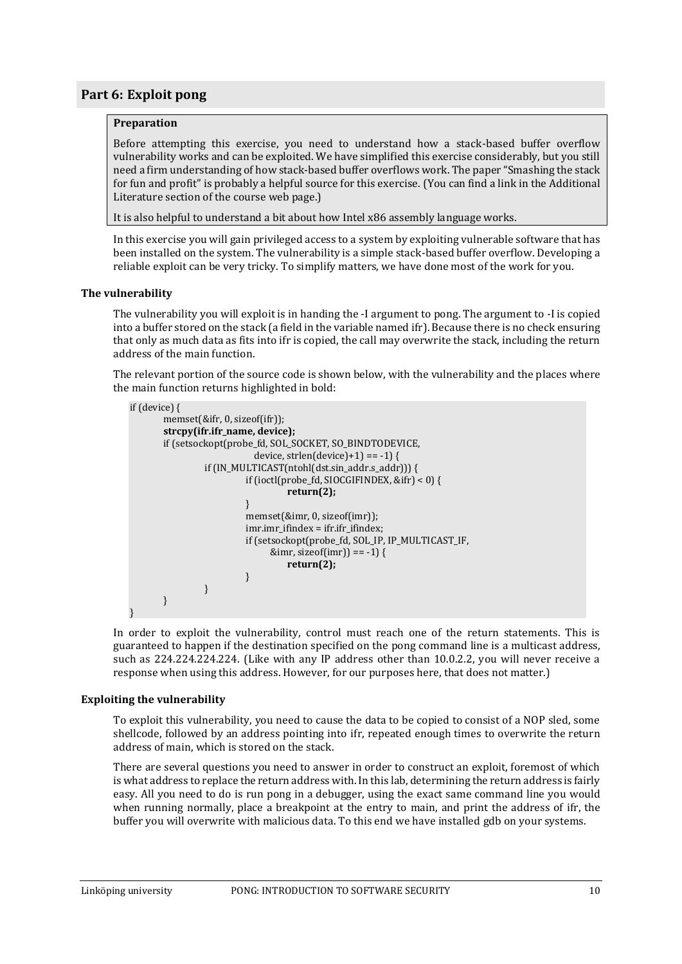# <span id="page-12-0"></span>**Part 6: Exploit pong**

# **Preparation**

Before attempting this exercise, you need to understand how a stack-based buffer overflow vulnerability works and can be exploited. We have simplified this exercise considerably, but you still need a firm understanding of how stack-based buffer overflows work. The paper "Smashing the stack for fun and profit" is probably a helpful source for this exercise. (You can find a link in the Additional Literature section of the course web page.)

It is also helpful to understand a bit about how Intel x86 assembly language works.

In this exercise you will gain privileged access to a system by exploiting vulnerable software that has been installed on the system. The vulnerability is a simple stack-based buffer overflow. Developing a reliable exploit can be very tricky. To simplify matters, we have done most of the work for you.

# <span id="page-12-1"></span>**The vulnerability**

The vulnerability you will exploit is in handing the -I argument to pong. The argument to -I is copied into a buffer stored on the stack (a field in the variable named ifr). Because there is no check ensuring that only as much data as fits into ifr is copied, the call may overwrite the stack, including the return address of the main function.

The relevant portion of the source code is shown below, with the vulnerability and the places where the main function returns highlighted in bold:

```
if (device) {
       memset(&ifr, 0, sizeof(ifr));
       strcpy(ifr.ifr_name, device);
       if (setsockopt(probe_fd, SOL_SOCKET, SO_BINDTODEVICE, 
                            device, strlen(device)+1) == -1) {
                 if (IN_MULTICAST(ntohl(dst.sin_addr.s_addr))) {
                          if (ioctl(probe_fd, SIOCGIFINDEX, &ifr) < 0) {
                                   return(2);
                          }
                          memset(&imr, 0, sizeof(imr));
                          imr.imr_ifindex = ifr.ifr_ifindex;
                          if (setsockopt(probe_fd, SOL_IP, IP_MULTICAST_IF, 
                                &imr, sizeof(imr)) == -1) {
                                   return(2);
                          }
                 }
       }
}
```
In order to exploit the vulnerability, control must reach one of the return statements. This is guaranteed to happen if the destination specified on the pong command line is a multicast address, such as 224.224.224.224. (Like with any IP address other than 10.0.2.2, you will never receive a response when using this address. However, for our purposes here, that does not matter.)

# <span id="page-12-2"></span>**Exploiting the vulnerability**

To exploit this vulnerability, you need to cause the data to be copied to consist of a NOP sled, some shellcode, followed by an address pointing into ifr, repeated enough times to overwrite the return address of main, which is stored on the stack.

There are several questions you need to answer in order to construct an exploit, foremost of which is what address to replace the return address with. In this lab, determining the return address is fairly easy. All you need to do is run pong in a debugger, using the exact same command line you would when running normally, place a breakpoint at the entry to main, and print the address of ifr, the buffer you will overwrite with malicious data. To this end we have installed gdb on your systems.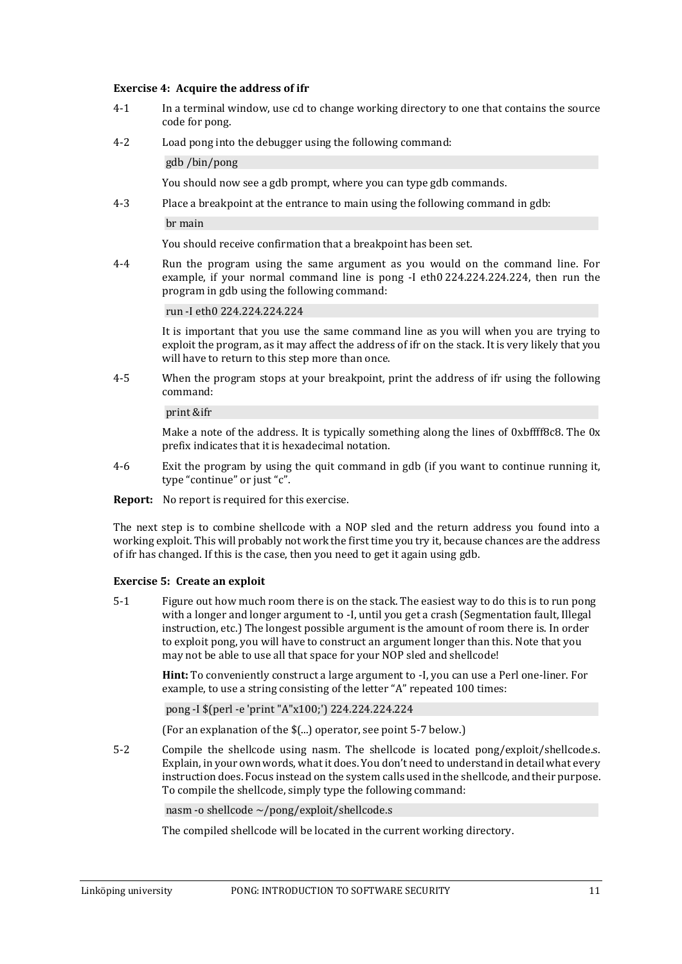#### **Exercise 4: Acquire the address of ifr**

- 4-1 In a terminal window, use cd to change working directory to one that contains the source code for pong.
- 4-2 Load pong into the debugger using the following command:

gdb /bin/pong

You should now see a gdb prompt, where you can type gdb commands.

4-3 Place a breakpoint at the entrance to main using the following command in gdb:

br main

You should receive confirmation that a breakpoint has been set.

4-4 Run the program using the same argument as you would on the command line. For example, if your normal command line is pong -I eth0 224.224.224.224, then run the program in gdb using the following command:

#### run -I eth0 224.224.224.224

It is important that you use the same command line as you will when you are trying to exploit the program, as it may affect the address of ifr on the stack. It is very likely that you will have to return to this step more than once.

4-5 When the program stops at your breakpoint, print the address of ifr using the following command:

#### print &ifr

Make a note of the address. It is typically something along the lines of 0xbffff8c8. The 0x prefix indicates that it is hexadecimal notation.

- 4-6 Exit the program by using the quit command in gdb (if you want to continue running it, type "continue" or just "c".
- **Report:** No report is required for this exercise.

The next step is to combine shellcode with a NOP sled and the return address you found into a working exploit. This will probably not work the first time you try it, because chances are the address of ifr has changed. If this is the case, then you need to get it again using gdb.

# **Exercise 5: Create an exploit**

5-1 Figure out how much room there is on the stack. The easiest way to do this is to run pong with a longer and longer argument to -I, until you get a crash (Segmentation fault, Illegal instruction, etc.) The longest possible argument is the amount of room there is. In order to exploit pong, you will have to construct an argument longer than this. Note that you may not be able to use all that space for your NOP sled and shellcode!

**Hint:** To conveniently construct a large argument to -I, you can use a Perl one-liner. For example, to use a string consisting of the letter "A" repeated 100 times:

pong -I \$(perl -e 'print "A"x100;') 224.224.224.224

(For an explanation of the \$(...) operator, see point [5-7](#page-14-0) below.)

<span id="page-13-0"></span>5-2 Compile the shellcode using nasm. The shellcode is located pong/exploit/shellcode.s. Explain, in your own words, what it does. You don't need to understand in detail what every instruction does. Focus instead on the system calls used in the shellcode, and their purpose. To compile the shellcode, simply type the following command:

nasm -o shellcode ~/pong/exploit/shellcode.s

The compiled shellcode will be located in the current working directory.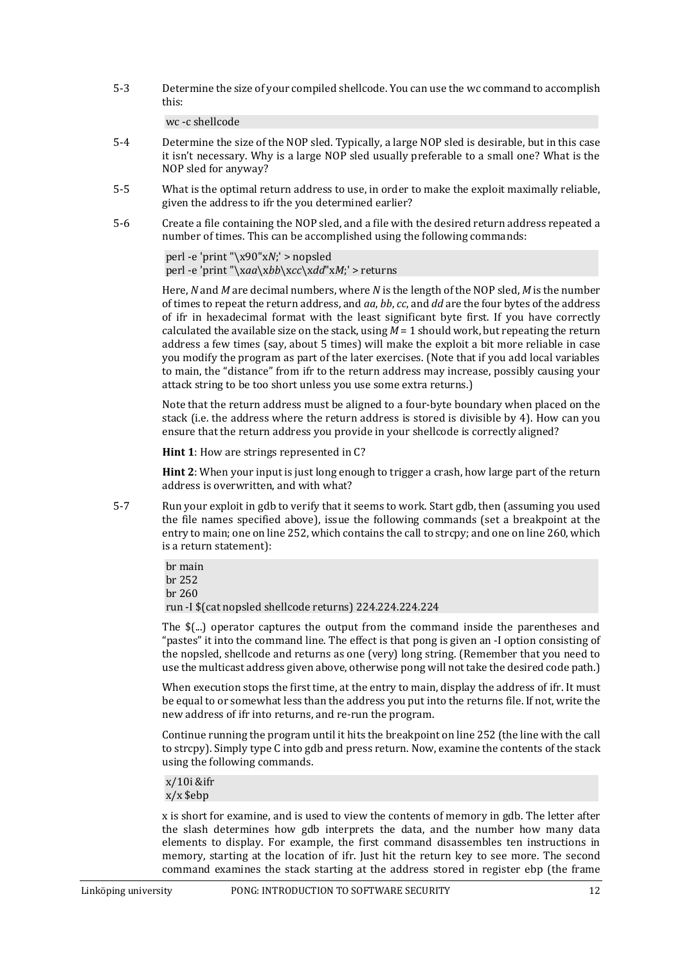5-3 Determine the size of your compiled shellcode. You can use the wc command to accomplish this:

# wc -c shellcode

- <span id="page-14-1"></span>5-4 Determine the size of the NOP sled. Typically, a large NOP sled is desirable, but in this case it isn't necessary. Why is a large NOP sled usually preferable to a small one? What is the NOP sled for anyway?
- 5-5 What is the optimal return address to use, in order to make the exploit maximally reliable, given the address to ifr the you determined earlier?
- <span id="page-14-2"></span>5-6 Create a file containing the NOP sled, and a file with the desired return address repeated a number of times. This can be accomplished using the following commands:

perl -e 'print "\x90"x*N*;' > nopsled perl -e 'print "\x*aa*\x*bb*\x*cc*\x*dd*"x*M*;' > returns

Here, *N* and *M* are decimal numbers, where *N* is the length of the NOP sled, *M* is the number of times to repeat the return address, and *aa*, *bb*, *cc*, and *dd* are the four bytes of the address of ifr in hexadecimal format with the least significant byte first. If you have correctly calculated the available size on the stack, using  $M = 1$  should work, but repeating the return address a few times (say, about 5 times) will make the exploit a bit more reliable in case you modify the program as part of the later exercises. (Note that if you add local variables to main, the "distance" from ifr to the return address may increase, possibly causing your attack string to be too short unless you use some extra returns.)

Note that the return address must be aligned to a four-byte boundary when placed on the stack (i.e. the address where the return address is stored is divisible by 4). How can you ensure that the return address you provide in your shellcode is correctly aligned?

**Hint 1**: How are strings represented in C?

**Hint 2**: When your input is just long enough to trigger a crash, how large part of the return address is overwritten, and with what?

<span id="page-14-0"></span>5-7 Run your exploit in gdb to verify that it seems to work. Start gdb, then (assuming you used the file names specified above), issue the following commands (set a breakpoint at the entry to main; one on line 252, which contains the call to strcpy; and one on line 260, which is a return statement):

> br main br 252 br 260 run -I \$(cat nopsled shellcode returns) 224.224.224.224

The \$(...) operator captures the output from the command inside the parentheses and "pastes" it into the command line. The effect is that pong is given an -I option consisting of the nopsled, shellcode and returns as one (very) long string. (Remember that you need to use the multicast address given above, otherwise pong will not take the desired code path.)

When execution stops the first time, at the entry to main, display the address of ifr. It must be equal to or somewhat less than the address you put into the returns file. If not, write the new address of ifr into returns, and re-run the program.

Continue running the program until it hits the breakpoint on line 252 (the line with the call to strcpy). Simply type C into gdb and press return. Now, examine the contents of the stack using the following commands.

x/10i &ifr x/x \$ebp

x is short for examine, and is used to view the contents of memory in gdb. The letter after the slash determines how gdb interprets the data, and the number how many data elements to display. For example, the first command disassembles ten instructions in memory, starting at the location of ifr. Just hit the return key to see more. The second command examines the stack starting at the address stored in register ebp (the frame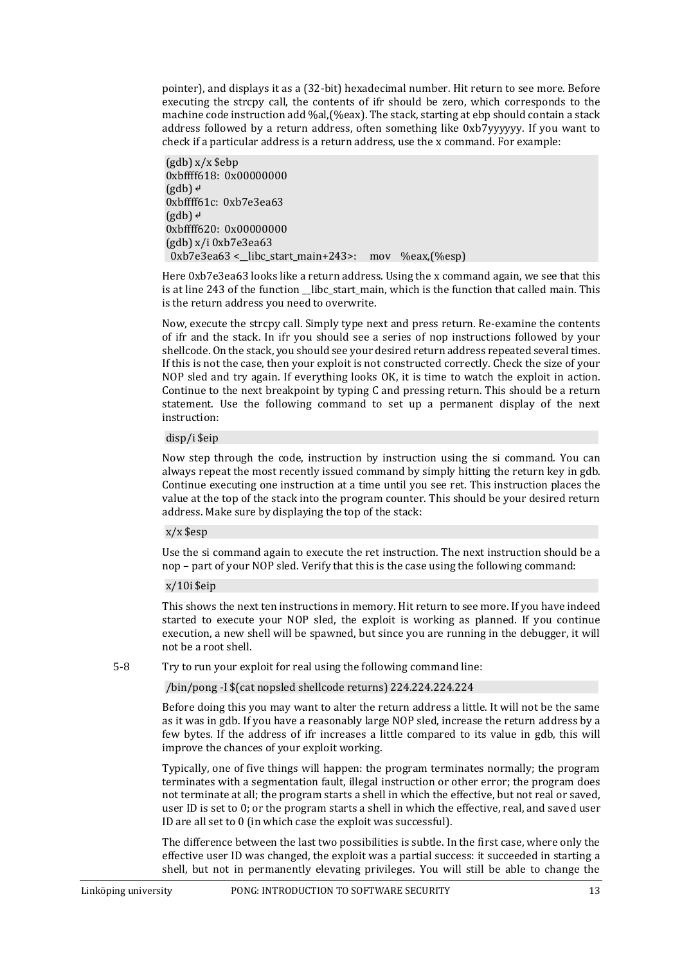pointer), and displays it as a (32-bit) hexadecimal number. Hit return to see more. Before executing the strcpy call, the contents of ifr should be zero, which corresponds to the machine code instruction add %al,(%eax). The stack, starting at ebp should contain a stack address followed by a return address, often something like 0xb7yyyyyy. If you want to check if a particular address is a return address, use the x command. For example:

(gdb) x/x \$ebp 0xbffff618: 0x00000000  $(gdb)$ <sup> $\leftrightarrow$ </sup> 0xbffff61c: 0xb7e3ea63  $(gdb)$ <sup> $\leftrightarrow$ </sup> 0xbffff620: 0x00000000 (gdb) x/i 0xb7e3ea63 0xb7e3ea63 <\_\_libc\_start\_main+243>: mov %eax,(%esp)

Here 0xb7e3ea63 looks like a return address. Using the x command again, we see that this is at line 243 of the function \_libc\_start\_main, which is the function that called main. This is the return address you need to overwrite.

Now, execute the strcpy call. Simply type next and press return. Re-examine the contents of ifr and the stack. In ifr you should see a series of nop instructions followed by your shellcode. On the stack, you should see your desired return address repeated several times. If this is not the case, then your exploit is not constructed correctly. Check the size of your NOP sled and try again. If everything looks OK, it is time to watch the exploit in action. Continue to the next breakpoint by typing C and pressing return. This should be a return statement. Use the following command to set up a permanent display of the next instruction:

# disp/i \$eip

Now step through the code, instruction by instruction using the si command. You can always repeat the most recently issued command by simply hitting the return key in gdb. Continue executing one instruction at a time until you see ret. This instruction places the value at the top of the stack into the program counter. This should be your desired return address. Make sure by displaying the top of the stack:

# x/x \$esp

Use the si command again to execute the ret instruction. The next instruction should be a nop – part of your NOP sled. Verify that this is the case using the following command:

# x/10i \$eip

This shows the next ten instructions in memory. Hit return to see more. If you have indeed started to execute your NOP sled, the exploit is working as planned. If you continue execution, a new shell will be spawned, but since you are running in the debugger, it will not be a root shell.

<span id="page-15-0"></span>5-8 Try to run your exploit for real using the following command line:

/bin/pong -I \$(cat nopsled shellcode returns) 224.224.224.224

Before doing this you may want to alter the return address a little. It will not be the same as it was in gdb. If you have a reasonably large NOP sled, increase the return address by a few bytes. If the address of ifr increases a little compared to its value in gdb, this will improve the chances of your exploit working.

Typically, one of five things will happen: the program terminates normally; the program terminates with a segmentation fault, illegal instruction or other error; the program does not terminate at all; the program starts a shell in which the effective, but not real or saved, user ID is set to 0; or the program starts a shell in which the effective, real, and saved user ID are all set to 0 (in which case the exploit was successful).

The difference between the last two possibilities is subtle. In the first case, where only the effective user ID was changed, the exploit was a partial success: it succeeded in starting a shell, but not in permanently elevating privileges. You will still be able to change the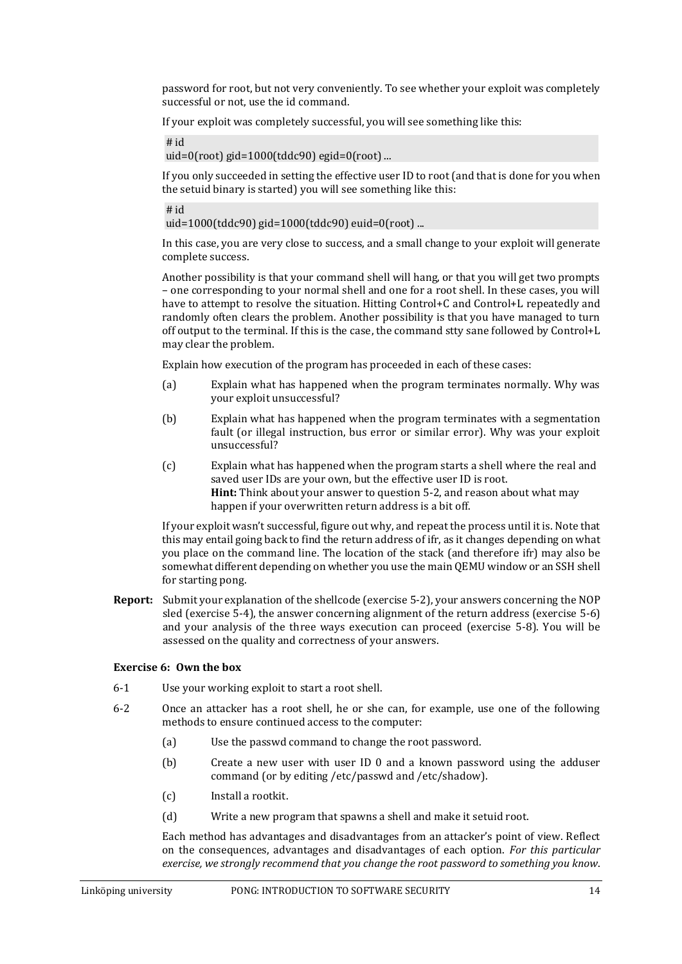password for root, but not very conveniently. To see whether your exploit was completely successful or not, use the id command.

If your exploit was completely successful, you will see something like this:

# id

uid=0(root) gid=1000(tddc90) egid=0(root) ...

If you only succeeded in setting the effective user ID to root (and that is done for you when the setuid binary is started) you will see something like this:

# id

uid=1000(tddc90) gid=1000(tddc90) euid=0(root) ...

In this case, you are very close to success, and a small change to your exploit will generate complete success.

Another possibility is that your command shell will hang, or that you will get two prompts – one corresponding to your normal shell and one for a root shell. In these cases, you will have to attempt to resolve the situation. Hitting Control+C and Control+L repeatedly and randomly often clears the problem. Another possibility is that you have managed to turn off output to the terminal. If this is the case, the command stty sane followed by Control+L may clear the problem.

Explain how execution of the program has proceeded in each of these cases:

- (a) Explain what has happened when the program terminates normally. Why was your exploit unsuccessful?
- (b) Explain what has happened when the program terminates with a segmentation fault (or illegal instruction, bus error or similar error). Why was your exploit unsuccessful?
- (c) Explain what has happened when the program starts a shell where the real and saved user IDs are your own, but the effective user ID is root. **Hint:** Think about your answer to questio[n 5-2,](#page-13-0) and reason about what may happen if your overwritten return address is a bit off.

If your exploit wasn't successful, figure out why, and repeat the process until it is. Note that this may entail going back to find the return address of ifr, as it changes depending on what you place on the command line. The location of the stack (and therefore ifr) may also be somewhat different depending on whether you use the main QEMU window or an SSH shell for starting pong.

**Report:** Submit your explanation of the shellcode (exercise [5-2\)](#page-13-0), your answers concerning the NOP sled (exercise [5-4\)](#page-14-1), the answer concerning alignment of the return address (exercise [5-6\)](#page-14-2) and your analysis of the three ways execution can proceed (exercise [5-8\)](#page-15-0). You will be assessed on the quality and correctness of your answers.

# **Exercise 6: Own the box**

- 6-1 Use your working exploit to start a root shell.
- 6-2 Once an attacker has a root shell, he or she can, for example, use one of the following methods to ensure continued access to the computer:
	- (a) Use the passwd command to change the root password.
	- (b) Create a new user with user ID 0 and a known password using the adduser command (or by editing /etc/passwd and /etc/shadow).
	- (c) Install a rootkit.
	- (d) Write a new program that spawns a shell and make it setuid root.

Each method has advantages and disadvantages from an attacker's point of view. Reflect on the consequences, advantages and disadvantages of each option. *For this particular exercise, we strongly recommend that you change the root password to something you know*.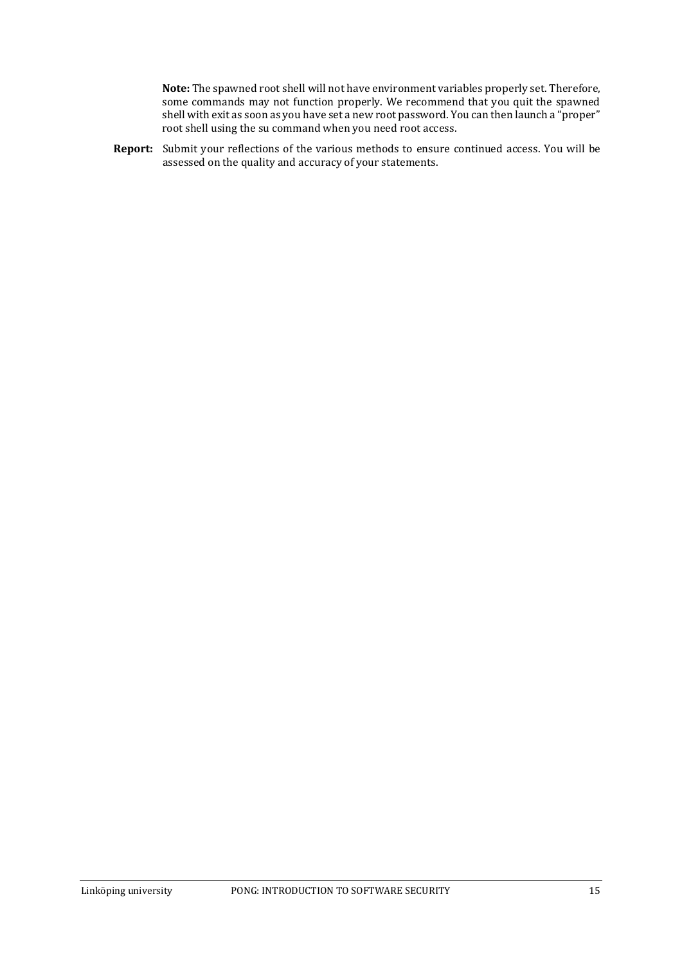**Note:** The spawned root shell will not have environment variables properly set. Therefore, some commands may not function properly. We recommend that you quit the spawned shell with exit as soon as you have set a new root password. You can then launch a "proper" root shell using the su command when you need root access.

**Report:** Submit your reflections of the various methods to ensure continued access. You will be assessed on the quality and accuracy of your statements.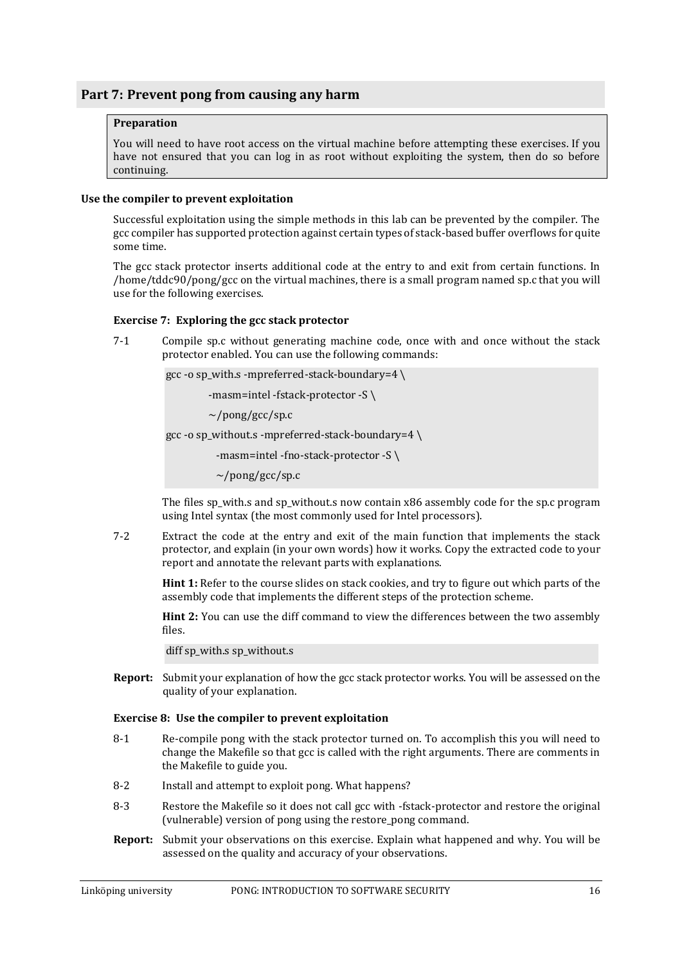# <span id="page-18-0"></span>**Part 7: Prevent pong from causing any harm**

# **Preparation**

You will need to have root access on the virtual machine before attempting these exercises. If you have not ensured that you can log in as root without exploiting the system, then do so before continuing.

# <span id="page-18-1"></span>**Use the compiler to prevent exploitation**

Successful exploitation using the simple methods in this lab can be prevented by the compiler. The gcc compiler has supported protection against certain types of stack-based buffer overflows for quite some time.

The gcc stack protector inserts additional code at the entry to and exit from certain functions. In /home/tddc90/pong/gcc on the virtual machines, there is a small program named sp.c that you will use for the following exercises.

# **Exercise 7: Exploring the gcc stack protector**

7-1 Compile sp.c without generating machine code, once with and once without the stack protector enabled. You can use the following commands:

gcc -o sp\_with.s -mpreferred-stack-boundary=4 \

-masm=intel -fstack-protector -S \

~/pong/gcc/sp.c

gcc -o sp\_without.s -mpreferred-stack-boundary=4  $\backslash$ 

-masm=intel -fno-stack-protector -S \

 $\sim$ /pong/gcc/sp.c

The files sp\_with.s and sp\_without.s now contain x86 assembly code for the sp.c program using Intel syntax (the most commonly used for Intel processors).

7-2 Extract the code at the entry and exit of the main function that implements the stack protector, and explain (in your own words) how it works. Copy the extracted code to your report and annotate the relevant parts with explanations.

**Hint 1:** Refer to the course slides on stack cookies, and try to figure out which parts of the assembly code that implements the different steps of the protection scheme.

**Hint 2:** You can use the diff command to view the differences between the two assembly files.

diff sp\_with.s sp\_without.s

**Report:** Submit your explanation of how the gcc stack protector works. You will be assessed on the quality of your explanation.

# **Exercise 8: Use the compiler to prevent exploitation**

- 8-1 Re-compile pong with the stack protector turned on. To accomplish this you will need to change the Makefile so that gcc is called with the right arguments. There are comments in the Makefile to guide you.
- 8-2 Install and attempt to exploit pong. What happens?
- 8-3 Restore the Makefile so it does not call gcc with -fstack-protector and restore the original (vulnerable) version of pong using the restore\_pong command.
- **Report:** Submit your observations on this exercise. Explain what happened and why. You will be assessed on the quality and accuracy of your observations.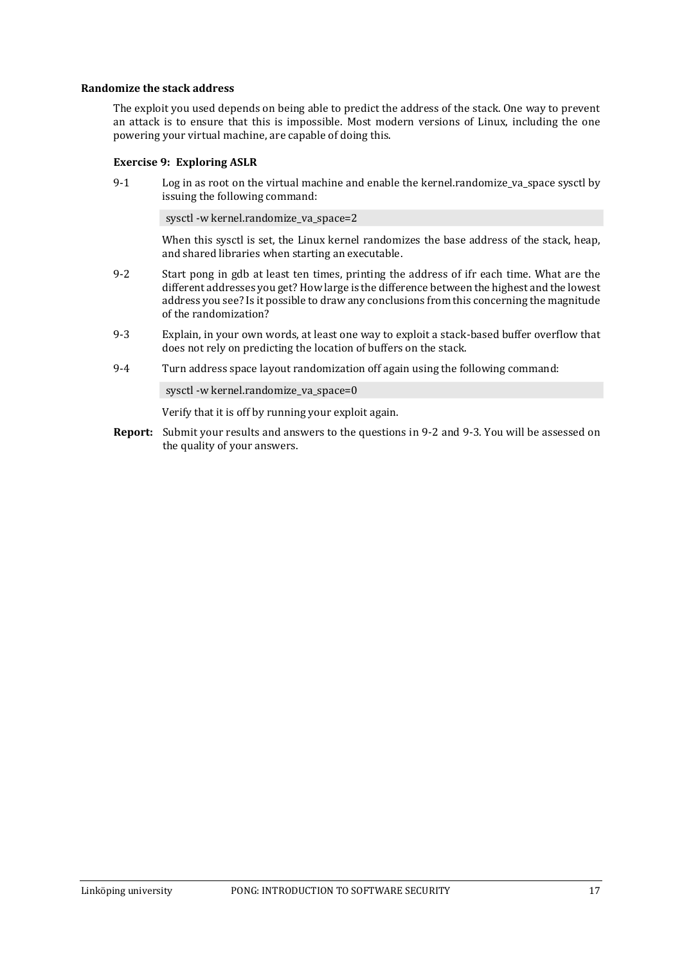# <span id="page-19-0"></span>**Randomize the stack address**

The exploit you used depends on being able to predict the address of the stack. One way to prevent an attack is to ensure that this is impossible. Most modern versions of Linux, including the one powering your virtual machine, are capable of doing this.

# **Exercise 9: Exploring ASLR**

9-1 Log in as root on the virtual machine and enable the kernel.randomize va space sysctl by issuing the following command:

sysctl -w kernel.randomize\_va\_space=2

When this sysctl is set, the Linux kernel randomizes the base address of the stack, heap, and shared libraries when starting an executable.

- <span id="page-19-1"></span>9-2 Start pong in gdb at least ten times, printing the address of ifr each time. What are the different addresses you get? How large is the difference between the highest and the lowest address you see? Is it possible to draw any conclusions from this concerning the magnitude of the randomization?
- <span id="page-19-2"></span>9-3 Explain, in your own words, at least one way to exploit a stack-based buffer overflow that does not rely on predicting the location of buffers on the stack.
- 9-4 Turn address space layout randomization off again using the following command:

sysctl -w kernel.randomize\_va\_space=0

Verify that it is off by running your exploit again.

**Report:** Submit your results and answers to the questions in [9-2](#page-19-1) and [9-3.](#page-19-2) You will be assessed on the quality of your answers.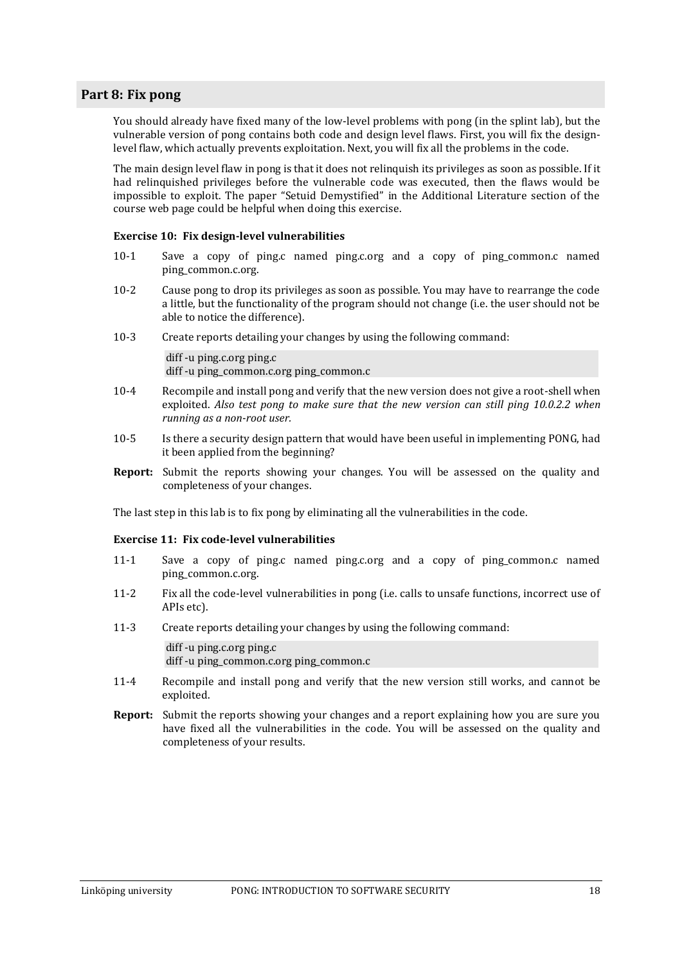# <span id="page-20-0"></span>**Part 8: Fix pong**

You should already have fixed many of the low-level problems with pong (in the splint lab), but the vulnerable version of pong contains both code and design level flaws. First, you will fix the designlevel flaw, which actually prevents exploitation. Next, you will fix all the problems in the code.

The main design level flaw in pong is that it does not relinquish its privileges as soon as possible. If it had relinquished privileges before the vulnerable code was executed, then the flaws would be impossible to exploit. The paper "Setuid Demystified" in the Additional Literature section of the course web page could be helpful when doing this exercise.

# **Exercise 10: Fix design-level vulnerabilities**

- 10-1 Save a copy of ping.c named ping.c.org and a copy of ping\_common.c named ping\_common.c.org.
- 10-2 Cause pong to drop its privileges as soon as possible. You may have to rearrange the code a little, but the functionality of the program should not change (i.e. the user should not be able to notice the difference).
- 10-3 Create reports detailing your changes by using the following command:

diff -u ping.c.org ping.c diff -u ping\_common.c.org ping\_common.c

- 10-4 Recompile and install pong and verify that the new version does not give a root-shell when exploited. *Also test pong to make sure that the new version can still ping 10.0.2.2 when running as a non-root user.*
- 10-5 Is there a security design pattern that would have been useful in implementing PONG, had it been applied from the beginning?
- **Report:** Submit the reports showing your changes. You will be assessed on the quality and completeness of your changes.

The last step in this lab is to fix pong by eliminating all the vulnerabilities in the code.

# **Exercise 11: Fix code-level vulnerabilities**

- 11-1 Save a copy of ping.c named ping.c.org and a copy of ping\_common.c named ping\_common.c.org.
- 11-2 Fix all the code-level vulnerabilities in pong (i.e. calls to unsafe functions, incorrect use of APIs etc).
- 11-3 Create reports detailing your changes by using the following command:

diff -u ping.c.org ping.c

- diff -u ping\_common.c.org ping\_common.c
- 11-4 Recompile and install pong and verify that the new version still works, and cannot be exploited.
- **Report:** Submit the reports showing your changes and a report explaining how you are sure you have fixed all the vulnerabilities in the code. You will be assessed on the quality and completeness of your results.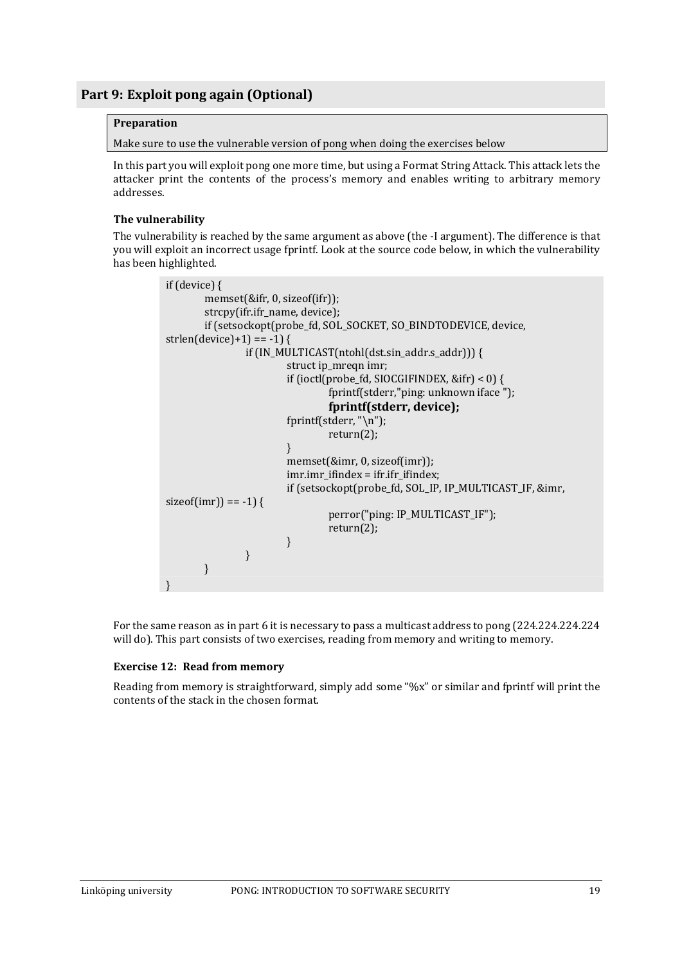# <span id="page-21-0"></span>**Preparation**

Make sure to use the vulnerable version of pong when doing the exercises below

In this part you will exploit pong one more time, but using a Format String Attack. This attack lets the attacker print the contents of the process's memory and enables writing to arbitrary memory addresses.

# <span id="page-21-1"></span>**The vulnerability**

The vulnerability is reached by the same argument as above (the -I argument). The difference is that you will exploit an incorrect usage fprintf. Look at the source code below, in which the vulnerability has been highlighted.

```
if (device) {
        memset(&ifr, 0, sizeof(ifr));
        strcpy(ifr.ifr_name, device);
        if (setsockopt(probe_fd, SOL_SOCKET, SO_BINDTODEVICE, device, 
strlen(device)+1) == -1) {
                if (IN_MULTICAST(ntohl(dst.sin_addr.s_addr))) {
                         struct ip_mreqn imr;
                         if (ioctl(probe_fd, SIOCGIFINDEX, &ifr) < 0) {
                                 fprintf(stderr,"ping: unknown iface ");
                                 fprintf(stderr, device);
                         fprintf(stderr, "\n");
                                 return(2);
                         }
                         memset(&imr, 0, sizeof(imr));
                         imr.imr_ifindex = ifr.ifr_ifindex;
                         if (setsockopt(probe_fd, SOL_IP, IP_MULTICAST_IF, &imr, 
sizeof(imr) == -1) {
                                 perror("ping: IP_MULTICAST_IF");
                                 return(2);
                         }
                }
       }
}
```
For the same reason as in part 6 it is necessary to pass a multicast address to pong (224.224.224.224 will do). This part consists of two exercises, reading from memory and writing to memory.

# **Exercise 12: Read from memory**

Reading from memory is straightforward, simply add some "%x" or similar and fprintf will print the contents of the stack in the chosen format.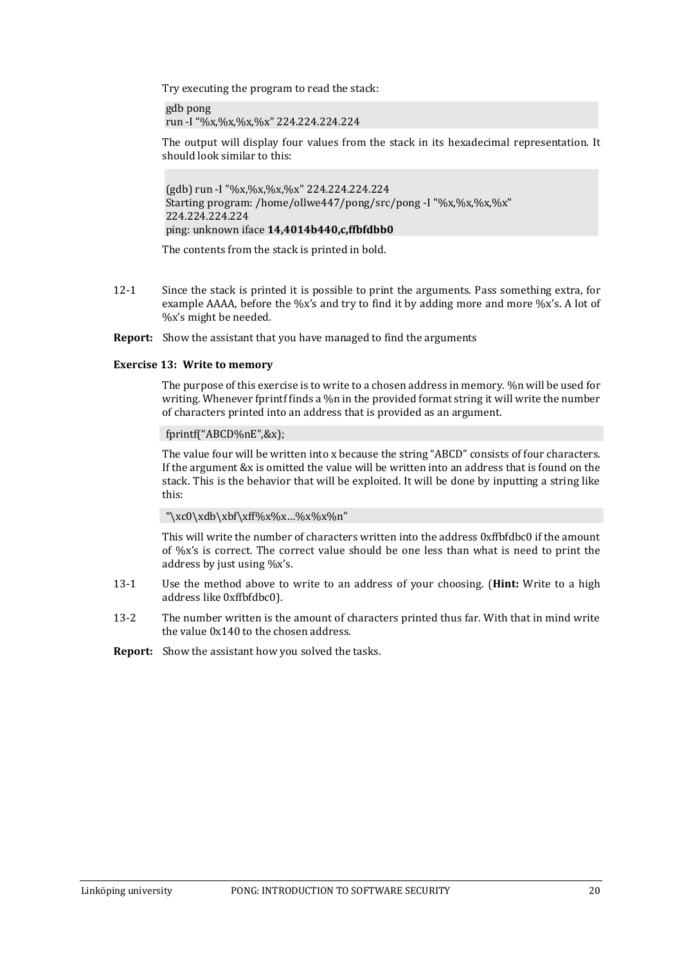Try executing the program to read the stack:

gdb pong run -I "%x,%x,%x,%x" 224.224.224.224

The output will display four values from the stack in its hexadecimal representation. It should look similar to this:

(gdb) run -I "%x,%x,%x,%x" 224.224.224.224 Starting program: /home/ollwe447/pong/src/pong -I "%x,%x,%x,%x" 224.224.224.224 ping: unknown iface **14,4014b440,c,ffbfdbb0**

The contents from the stack is printed in bold.

12-1 Since the stack is printed it is possible to print the arguments. Pass something extra, for example AAAA, before the %x's and try to find it by adding more and more %x's. A lot of %x's might be needed.

**Report:** Show the assistant that you have managed to find the arguments

# **Exercise 13: Write to memory**

The purpose of this exercise is to write to a chosen address in memory. %n will be used for writing. Whenever fprintf finds a %n in the provided format string it will write the number of characters printed into an address that is provided as an argument.

# fprintf("ABCD%nE",&x);

The value four will be written into x because the string "ABCD" consists of four characters. If the argument &x is omitted the value will be written into an address that is found on the stack. This is the behavior that will be exploited. It will be done by inputting a string like this:

"\xc0\xdb\xbf\xff%x%x...%x%x%n"

This will write the number of characters written into the address 0xffbfdbc0 if the amount of %x's is correct. The correct value should be one less than what is need to print the address by just using %x's.

- 13-1 Use the method above to write to an address of your choosing. (**Hint:** Write to a high address like 0xffbfdbc0).
- 13-2 The number written is the amount of characters printed thus far. With that in mind write the value 0x140 to the chosen address.

**Report:** Show the assistant how you solved the tasks.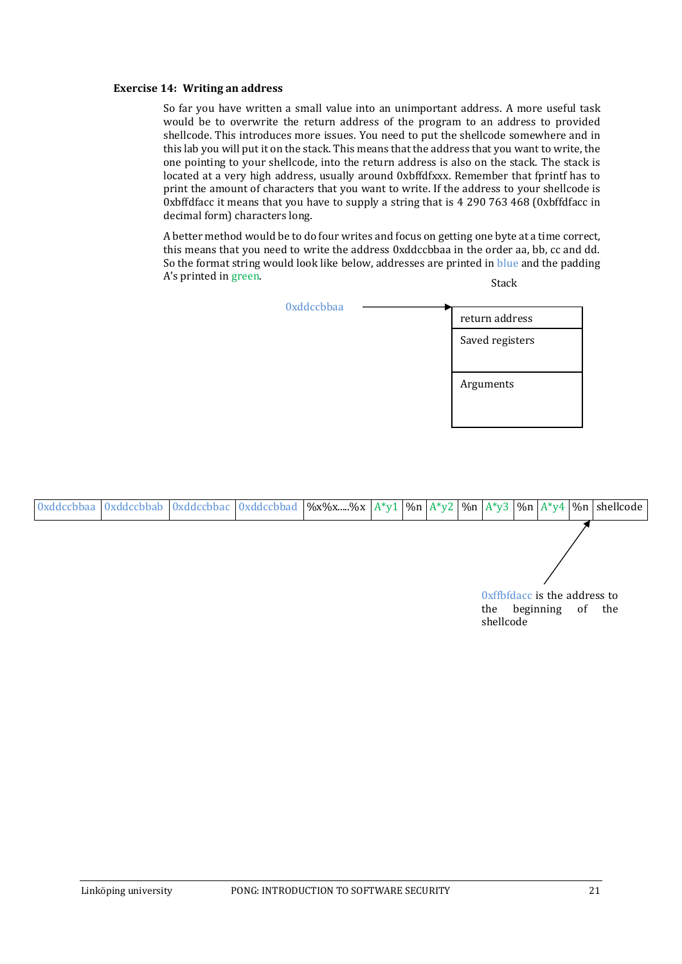#### **Exercise 14: Writing an address**

So far you have written a small value into an unimportant address. A more useful task would be to overwrite the return address of the program to an address to provided shellcode. This introduces more issues. You need to put the shellcode somewhere and in this lab you will put it on the stack. This means that the address that you want to write, the one pointing to your shellcode, into the return address is also on the stack. The stack is located at a very high address, usually around 0xbffdfxxx. Remember that fprintf has to print the amount of characters that you want to write. If the address to your shellcode is 0xbffdfacc it means that you have to supply a string that is 4 290 763 468 (0xbffdfacc in decimal form) characters long.

A better method would be to do four writes and focus on getting one byte at a time correct, this means that you need to write the address 0xddccbbaa in the order aa, bb, cc and dd. So the format string would look like below, addresses are printed in blue and the padding A's printed in green. Stack

| <b>Oxddccbbaa</b> | return address  |
|-------------------|-----------------|
|                   | Saved registers |
|                   | Arguments       |
|                   |                 |

| <b>Oxddccbbaa</b> |  |  |  |  |           |                                               |    |     |
|-------------------|--|--|--|--|-----------|-----------------------------------------------|----|-----|
|                   |  |  |  |  |           |                                               |    |     |
|                   |  |  |  |  |           |                                               |    |     |
|                   |  |  |  |  |           |                                               |    |     |
|                   |  |  |  |  |           | Oxffbfdacc is the address to<br>the beginning | of | the |
|                   |  |  |  |  | shellcode |                                               |    |     |